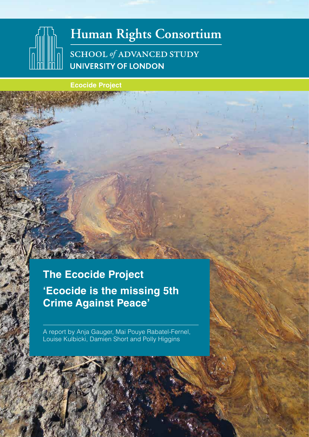# Human Rights Consortium SCHOOL of ADVANCED STUDY **UNIVERSITY OF LONDON**

 **Ecocide Project**

**The Ecocide Project 'Ecocide is the missing 5th Crime Against Peace'** 

A report by Anja Gauger, Mai Pouye Rabatel-Fernel, Louise Kulbicki, Damien Short and Polly Higgins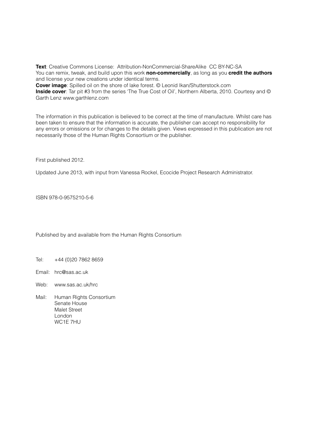**Text**: Creative Commons License: Attribution-NonCommercial-ShareAlike CC BY-NC-SA You can remix, tweak, and build upon this work **non-commercially**, as long as you **credit the authors** and license your new creations under identical terms.

**Cover image**: Spilled oil on the shore of lake forest. © Leonid Ikan/Shutterstock.com

**Inside cover**: Tar pit #3 from the series 'The True Cost of Oil', Northern Alberta, 2010. Courtesy and © Garth Lenz www.garthlenz.com

The information in this publication is believed to be correct at the time of manufacture. Whilst care has been taken to ensure that the information is accurate, the publisher can accept no responsibility for any errors or omissions or for changes to the details given. Views expressed in this publication are not necessarily those of the Human Rights Consortium or the publisher.

First published 2012.

Updated June 2013, with input from Vanessa Rockel, Ecocide Project Research Administrator.

ISBN 978-0-9575210-5-6

Published by and available from the Human Rights Consortium

- Tel: +44 (0)20 7862 8659
- Email: hrc@sas.ac.uk
- Web: www.sas.ac.uk/hrc
- Mail: Human Rights Consortium Senate House Malet Street London WC1E 7HU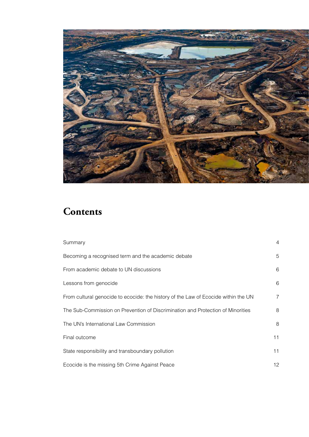

## **Contents**

| Summary                                                                            | $\overline{4}$ |
|------------------------------------------------------------------------------------|----------------|
| Becoming a recognised term and the academic debate                                 | 5              |
| From academic debate to UN discussions                                             | 6              |
| Lessons from genocide                                                              | 6              |
| From cultural genocide to ecocide: the history of the Law of Ecocide within the UN | $\overline{7}$ |
| The Sub-Commission on Prevention of Discrimination and Protection of Minorities    | 8              |
| The UN's International Law Commission                                              | 8              |
| Final outcome                                                                      | 11             |
| State responsibility and transboundary pollution                                   | 11             |
| Ecocide is the missing 5th Crime Against Peace                                     | 12             |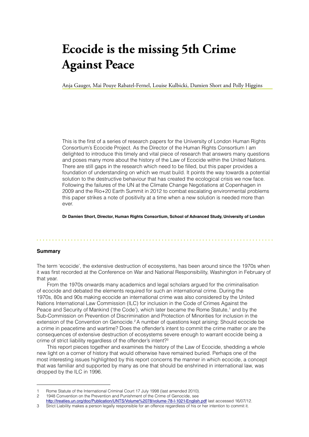# **Ecocide is the missing 5th Crime Against Peace**

Anja Gauger, Mai Pouye Rabatel-Fernel, Louise Kulbicki, Damien Short and Polly Higgins

This is the first of a series of research papers for the University of London Human Rights Consortium's Ecocide Project. As the Director of the Human Rights Consortium I am delighted to introduce this timely and vital piece of research that answers many questions and poses many more about the history of the Law of Ecocide within the United Nations. There are still gaps in the research which need to be filled, but this paper provides a foundation of understanding on which we must build. It points the way towards a potential solution to the destructive behaviour that has created the ecological crisis we now face. Following the failures of the UN at the Climate Change Negotiations at Copenhagen in 2009 and the Rio+20 Earth Summit in 2012 to combat escalating environmental problems this paper strikes a note of positivity at a time when a new solution is needed more than ever.

**Dr Damien Short, Director, Human Rights Consortium, School of Advanced Study, University of London**

#### **Summary**

The term 'ecocide', the extensive destruction of ecosystems, has been around since the 1970s when it was first recorded at the Conference on War and National Responsibility, Washington in February of that year.

From the 1970s onwards many academics and legal scholars argued for the criminalisation of ecocide and debated the elements required for such an international crime. During the 1970s, 80s and 90s making ecocide an international crime was also considered by the United Nations International Law Commission (ILC) for inclusion in the Code of Crimes Against the Peace and Security of Mankind ('the Code'), which later became the Rome Statute,<sup>1</sup> and by the Sub-Commission on Prevention of Discrimination and Protection of Minorities for inclusion in the extension of the Convention on Genocide.2 A number of questions kept arising: Should ecocide be a crime in peacetime and wartime? Does the offender's intent to commit the crime matter or are the consequences of extensive destruction of ecosystems severe enough to warrant ecocide being a crime of strict liability regardless of the offender's intent?3

This report pieces together and examines the history of the Law of Ecocide, shedding a whole new light on a corner of history that would otherwise have remained buried. Perhaps one of the most interesting issues highlighted by this report concerns the manner in which ecocide, a concept that was familiar and supported by many as one that should be enshrined in international law, was dropped by the ILC in 1996.

<sup>1</sup> Rome Statute of the International Criminal Court 17 July 1998 (last amended 2010).

<sup>2</sup> 1948 Convention on the Prevention and Punishment of the Crime of Genocide, see

http://treaties.un.org/doc/Publication/UNTS/Volume%2078/volume-78-I-1021-English.pdf last accessed 16/07/12.

<sup>3</sup> Strict Liability makes a person legally responsible for an offence regardless of his or her intention to commit it.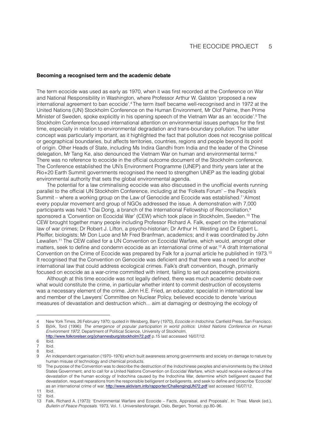#### **Becoming a recognised term and the academic debate**

The term ecocide was used as early as 1970, when it was first recorded at the Conference on War and National Responsibility in Washington, where Professor Arthur W. Galston 'proposed a new international agreement to ban ecocide'.4 The term itself became well-recognised and in 1972 at the United Nations (UN) Stockholm Conference on the Human Environment, Mr Olof Palme, then Prime Minister of Sweden, spoke explicitly in his opening speech of the Vietnam War as an 'ecocide'.5 The Stockholm Conference focused international attention on environmental issues perhaps for the first time, especially in relation to environmental degradation and trans-boundary pollution. The latter concept was particularly important, as it highlighted the fact that pollution does not recognise political or geographical boundaries, but affects territories, countries, regions and people beyond its point of origin. Other Heads of State, including Ms Indira Gandhi from India and the leader of the Chinese delegation, Mr Tang Ke, also denounced the Vietnam War on human and environmental terms.6 There was no reference to ecocide in the official outcome document of the Stockholm conference. The Conference established the UN's Environment Programme (UNEP) and thirty years later at the Rio+20 Earth Summit governments recognised the need to strengthen UNEP as the leading global environmental authority that sets the global environmental agenda.

The potential for a law criminalising ecocide was also discussed in the unofficial events running parallel to the official UN Stockholm Conference, including at the 'Folkets Forum' – the People's Summit – where a working group on the Law of Genocide and Ecocide was established.<sup>7</sup> 'Almost' every popular movement and group of NGOs addressed the issue. A demonstration with 7,000 participants was held.'<sup>8</sup> Dai Dong, a branch of the International Fellowship of Reconciliation,<sup>s</sup> sponsored a 'Convention on Ecocidal War' (CEW) which took place in Stockholm, Sweden.<sup>10</sup> The CEW brought together many people including Professor Richard A. Falk, expert on the international law of war crimes; Dr Robert J. Lifton, a psycho-historian; Dr Arthur H. Westing and Dr Egbert L. Pfeiffer, biologists; Mr Don Luce and Mr Fred Branfman, academics; and it was coordinated by John Lewallen.11 The CEW called for a UN Convention on Ecocidal Warfare, which would, amongst other matters, seek to define and condemn ecocide as an international crime of war.12 A draft International Convention on the Crime of Ecocide was prepared by Falk for a journal article he published in 1973.13 It recognised that the Convention on Genocide was deficient and that there was a need for another international law that could address ecological crimes. Falk's draft convention, though, primarily focused on ecocide as a war-crime committed with intent, failing to set out peacetime provisions.

Although at this time ecocide was not legally defined, there was much academic debate over what would constitute the crime, in particular whether intent to commit destruction of ecosystems was a necessary element of the crime. John H.E. Fried, an educator, specialist in international law and member of the Lawyers' Committee on Nuclear Policy, believed ecocide to denote 'various measures of devastation and destruction which... aim at damaging or destroying the ecology of

<sup>4</sup> New York Times, 26 February 1970; quoted in Weisberg, Barry (1970), *Ecocide in Indochina*. Canfield Press, San Francisco. 5 Björk, Tord (1996): *The emergence of popular participation in world politics: United Nations Conference on Human Environment 1972*, Department of Political Science, University of Stockholm,

http://www.folkrorelser.org/johannesburg/stockholm72.pdf p.15 last accessed 16/07/12.

<sup>6</sup> Ibid.

<sup>7</sup> Ibid.

<sup>8</sup> Ibid.

<sup>9</sup> An independent organisation (1970–1976) which built awareness among governments and society on damage to nature by human misuse of technology and chemical products.

<sup>10</sup> The purpose of the Convention was to describe the destruction of the Indochinese peoples and environments by the United States Government; and to call for a United Nations Convention on Ecocidal Warfare, which would receive evidence of the devastation of the human ecology of Indochina caused by the Indochina War, determine which belligerent caused that devastation, request reparations from the responsible belligerent or belligerents, and seek to define and proscribe 'Ecocide' as an international crime of war. http://www.aktivism.info/rapporter/ChallengingUN72.pdf last accessed 16/07/12.

<sup>11</sup> Ibid.

<sup>12</sup> Ibid.

<sup>13</sup> Falk, Richard A. (1973): 'Environmental Warfare and Ecocide – Facts, Appraisal, and Proposals'. In: Thee, Marek (ed.), *Bulletin of Peace Proposals.* 1973, Vol. 1. Universitersforlaget, Oslo, Bergen, Tromsö; pp.80–96.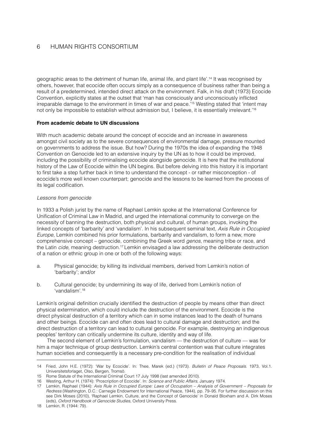geographic areas to the detriment of human life, animal life, and plant life'.14 It was recognised by others, however, that ecocide often occurs simply as a consequence of business rather than being a result of a predetermined, intended direct attack on the environment. Falk, in his draft (1973) Ecocide Convention, explicitly states at the outset that 'man has consciously and unconsciously inflicted irreparable damage to the environment in times of war and peace.'15 Westing stated that 'intent may not only be impossible to establish without admission but, I believe, it is essentially irrelevant.'16

#### **From academic debate to UN discussions**

With much academic debate around the concept of ecocide and an increase in awareness amongst civil society as to the severe consequences of environmental damage, pressure mounted on governments to address the issue. But how? During the 1970s the idea of expanding the 1948 Convention on Genocide led to an extensive inquiry by the UN as to how it could be improved, including the possibility of criminalising ecocide alongside genocide. It is here that the institutional history of the Law of Ecocide within the UN begins. But before delving into this history it is important to first take a step further back in time to understand the concept - or rather misconception - of ecocide's more well known counterpart; genocide and the lessons to be learned from the process of its legal codification.

#### *Lessons from genocide*

In 1933 a Polish jurist by the name of Raphael Lemkin spoke at the International Conference for Unification of Criminal Law in Madrid, and urged the international community to converge on the necessity of banning the destruction, both physical and cultural, of human groups, invoking the linked concepts of 'barbarity' and 'vandalism'. In his subsequent seminal text, *Axis Rule in Occupied Europe*, Lemkin combined his prior formulations, barbarity and vandalism, to form a new, more comprehensive concept – genocide, combining the Greek word *genos*, meaning tribe or race, and the Latin *cide*, meaning destruction.17 Lemkin envisaged a law addressing the deliberate destruction of a nation or ethnic group in one or both of the following ways:

- a. Physical genocide; by killing its individual members, derived from Lemkin's notion of 'barbarity'; and/or
- b. Cultural genocide; by undermining its way of life, derived from Lemkin's notion of 'vandalism'.18

Lemkin's original definition crucially identified the destruction of people by means other than direct physical extermination, which could include the destruction of the environment. Ecocide is the direct physical destruction of a territory which can in some instances lead to the death of humans and other beings. Ecocide can and often does lead to cultural damage and destruction; and the direct destruction of a territory can lead to cultural genocide. For example, destroying an indigenous peoples' territory can critically undermine its culture, identity and way of life.

The second element of Lemkin's formulation, vandalism — the destruction of culture — was for him a major technique of group destruction. Lemkin's central contention was that culture integrates human societies and consequently is a necessary pre-condition for the realisation of individual

<sup>14</sup> Fried, John H.E. (1972): 'War by Ecocide'. In: Thee, Marek (ed.) (1973). *Bulletin of Peace Proposals*. 1973, Vol.1. Universitetsforlaget, Olso, Bergen, Tromsö.

<sup>15</sup> Rome Statute of the International Criminal Court 17 July 1998 (last amended 2010).

<sup>16</sup> Westing, Arthur H. (1974): 'Proscription of Ecocide'. In: *Science and Public Affairs*, January 1974.

<sup>17</sup> Lemkin, Raphael (1944): *Axis Rule in Occupied Europe: Laws of Occupation – Analysis of Government – Proposals for Redress* (Washington, D.C.: Carnegie Endowment for International Peace, 1944), pp. 79–95. For further discussion on this see Dirk Moses (2010), 'Raphael Lemkin, Culture, and the Concept of Genocide' in Donald Bloxham and A. Dirk Moses (eds), *Oxford Handbook of Genocide Studies,* Oxford University Press.

<sup>18</sup> Lemkin, R. (1944: 79).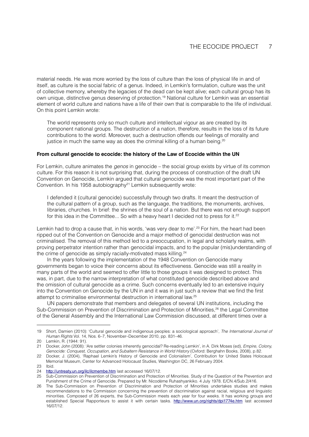material needs. He was more worried by the loss of culture than the loss of physical life in and of itself, as culture is the social fabric of a genus. Indeed, in Lemkin's formulation, culture was the unit of collective memory, whereby the legacies of the dead can be kept alive; each cultural group has its own unique, distinctive genus deserving of protection.19 National culture for Lemkin was an essential element of world culture and nations have a life of their own that is comparable to the life of individual. On this point Lemkin wrote:

The world represents only so much culture and intellectual vigour as are created by its component national groups. The destruction of a nation, therefore, results in the loss of its future contributions to the world. Moreover, such a destruction offends our feelings of morality and justice in much the same way as does the criminal killing of a human being.<sup>20</sup>

#### **From cultural genocide to ecocide: the history of the Law of Ecocide within the UN**

For Lemkin, culture animates the *genos* in genocide – the social group exists by virtue of its common culture. For this reason it is not surprising that, during the process of construction of the draft UN Convention on Genocide, Lemkin argued that cultural genocide was the most important part of the Convention. In his 1958 autobiography<sup>21</sup> Lemkin subsequently wrote:

I defended it (cultural genocide) successfully through two drafts. It meant the destruction of the cultural pattern of a group, such as the language, the traditions, the monuments, archives, libraries, churches. In brief: the shrines of the soul of a nation. But there was not enough support for this idea in the Committee... So with a heavy heart I decided not to press for it.<sup>22</sup>

Lemkin had to drop a cause that, in his words, 'was very dear to me'.<sup>23</sup> For him, the heart had been ripped out of the Convention on Genocide and a major method of genocidal destruction was not criminalised. The removal of this method led to a preoccupation, in legal and scholarly realms, with proving perpetrator intention rather than genocidal impacts, and to the popular (mis)understanding of the crime of genocide as simply racially-motivated mass killing.<sup>24</sup>

In the years following the implementation of the 1948 Convention on Genocide many governments began to voice their concerns about its effectiveness. Genocide was still a reality in many parts of the world and seemed to offer little to those groups it was designed to protect. This was, in part, due to the narrow interpretation of what constituted genocide described above and the omission of cultural genocide as a crime. Such concerns eventually led to an extensive inquiry into the Convention on Genocide by the UN in and it was in just such a review that we find the first attempt to criminalise environmental destruction in international law.25

UN papers demonstrate that members and delegates of several UN institutions, including the Sub-Commission on Prevention of Discrimination and Protection of Minorities,<sup>26</sup> the Legal Committee of the General Assembly and the International Law Commission discussed, at different times over a

<sup>19</sup> Short, Damien (2010): 'Cultural genocide and indigenous peoples: a sociological approach', *The International Journal of Human Rights* Vol. 14, Nos. 6–7, November–December 2010, pp. 831–46.

<sup>20</sup> Lemkin, R. (1944: 91).

<sup>21</sup> Docker, John (2008): 'Are settler colonies inherently genocidal? Re-reading Lemkin', in A. Dirk Moses (ed), *Empire, Colony, Genocide: Conquest, Occupation, and Subaltern Resistance in World History* (Oxford: Berghahn Books, 2008), p.82.

<sup>22</sup> Docker, J. (2004), 'Raphael Lemkin's History of Genocide and Colonialism', Contribution for United States Holocaust Memorial Museum, Center for Advanced Holocaust Studies, Washington DC, 26 February 2004.

<sup>23</sup> Ibid.

<sup>24</sup> http://untreaty.un.org/ilc/ilcmembe.htm last accessed 16/07/12.

<sup>25</sup> Sub-Commission on Prevention of Discrimination and Protection of Minorities. Study of the Question of the Prevention and Punishment of the Crime of Genocide. Prepared by Mr. Nicodème Ruhashyankiko. 4 July 1978. E/CN.4/Sub.2/416.

<sup>26</sup> The Sub-Commission on Prevention of Discrimination and Protection of Minorities undertakes studies and makes recommendations to the Commission concerning the prevention of discrimination against racial, religious and linguistic minorities. Composed of 26 experts, the Sub-Commission meets each year for four weeks. It has working groups and established Special Rapporteurs to assist it with certain tasks. http://www.un.org/rights/dpi1774e.htm last accessed 16/07/12.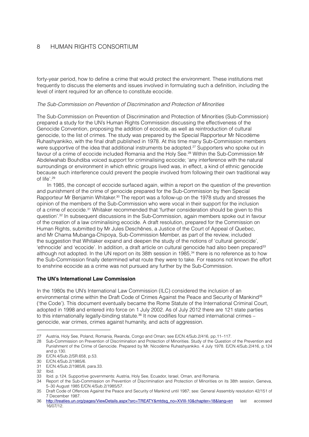forty-year period, how to define a crime that would protect the environment. These institutions met frequently to discuss the elements and issues involved in formulating such a definition, including the level of intent required for an offence to constitute ecocide.

#### *The Sub-Commission on Prevention of Discrimination and Protection of Minorities*

The Sub-Commission on Prevention of Discrimination and Protection of Minorities (Sub-Commission) prepared a study for the UN's Human Rights Commission discussing the effectiveness of the Genocide Convention, proposing the addition of ecocide, as well as reintroduction of cultural genocide, to the list of crimes. The study was prepared by the Special Rapporteur Mr Nicodème Ruhashyankiko, with the final draft published in 1978. At this time many Sub-Commission members were supportive of the idea that additional instruments be adopted.<sup>27</sup> Supporters who spoke out in favour of a crime of ecocide included Romania and the Holy See.<sup>28</sup> Within the Sub-Commission Mr Abdelwahab Bouhdiba voiced support for criminalising ecocide; 'any interference with the natural surroundings or environment in which ethnic groups lived was, in effect, a kind of ethnic genocide because such interference could prevent the people involved from following their own traditional way of life'.29

In 1985, the concept of ecocide surfaced again, within a report on the question of the prevention and punishment of the crime of genocide prepared for the Sub-Commission by then Special Rapporteur Mr Benjamin Whitaker.<sup>30</sup> The report was a follow-up on the 1978 study and stresses the opinion of the members of the Sub-Commission who were vocal in their support for the inclusion of a crime of ecocide.31 Whitaker recommended that 'further consideration should be given to this question'.32 In subsequent discussions in the Sub-Commission, again members spoke out in favour of the creation of a law criminalising ecocide. A draft resolution, prepared for the Commission on Human Rights, submitted by Mr Jules Deschênes, a Justice of the Court of Appeal of Quebec, and Mr Chama Mubanga-Chipoya, Sub-Commission Member, as part of the review, included the suggestion that Whitaker expand and deepen the study of the notions of 'cultural genocide', 'ethnocide' and 'ecocide'. In addition, a draft article on cultural genocide had also been prepared<sup>33</sup> although not adopted. In the UN report on its 38th session in 1985.<sup>34</sup> there is no reference as to how the Sub-Commission finally determined what route they were to take. For reasons not known the effort to enshrine ecocide as a crime was not pursued any further by the Sub-Commission.

#### **The UN's International Law Commission**

In the 1980s the UN's International Law Commission (ILC) considered the inclusion of an environmental crime within the Draft Code of Crimes Against the Peace and Security of Mankind<sup>35</sup> ('the Code'). This document eventually became the Rome Statute of the International Criminal Court, adopted in 1998 and entered into force on 1 July 2002. As of July 2012 there are 121 state parties to this internationally legally-binding statute.<sup>36</sup> It now codifies four named international crimes – genocide, war crimes, crimes against humanity, and acts of aggression.

<sup>27</sup> Austria, Holy See, Poland, Romania, Rwanda, Congo and Oman; see E/CN.4/Sub.2/416, pp.11–117.

<sup>28</sup> Sub-Commission on Prevention of Discrimination and Protection of Minorities. Study of the Question of the Prevention and Punishment of the Crime of Genocide. Prepared by Mr. Nicodème Ruhashyankiko. 4 July 1978. E/CN.4/Sub.2/416, p.124 and p.130.

<sup>29</sup> E/CN.4/Sub.2/SR.658, p.53.

<sup>30</sup> E/CN.4/Sub.2/1985/6.

<sup>31</sup> E/CN.4/Sub.2/1985/6, para.33.

<sup>32</sup> Ibid.

<sup>33</sup> Ibid. p.124. Supportive governments: Austria, Holy See, Ecuador, Israel, Oman, and Romania.

<sup>34</sup> Report of the Sub-Commission on Prevention of Discrimination and Protection of Minorities on its 38th session, Geneva, 5–30 August 1985 E/CN.4/Sub.2/1985/57.

<sup>35</sup> Draft Code of Offences Against the Peace and Security of Mankind until 1987; see: General Assembly resolution 42/151 of 7 December 1987.

<sup>36</sup> http://treaties.un.org/pages/ViewDetails.aspx?src=TREATY&mtdsg\_no=XVIII-10&chapter=18&lang=en last accessed 16/07/12.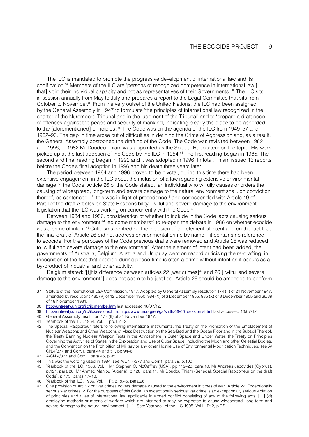The ILC is mandated to promote the progressive development of international law and its codification.<sup>37</sup> Members of the ILC are 'persons of recognized competence in international law [... that] sit in their individual capacity and not as representatives of their Governments'.38 The ILC sits in session annually from May to July and prepares a report to the Legal Committee that sits from October to November.39 From the very outset of the United Nations, the ILC had been assigned by the General Assembly in 1947 to formulate 'the principles of international law recognized in the charter of the Nuremberg Tribunal and in the judgment of the Tribunal' and to 'prepare a draft code of offences against the peace and security of mankind, indicating clearly the place to be accorded to the [aforementioned] principles'.<sup>40</sup> The Code was on the agenda of the ILC from 1949–57 and 1982–96. The gap in time arose out of difficulties in defining the Crime of Aggression and, as a result, the General Assembly postponed the drafting of the Code. The Code was revisited between 1982 and 1996; in 1982 Mr Doudou Thiam was appointed as the Special Rapporteur on the topic. His work picked up at the last adoption of the Code by the ILC in 1954.41 The first reading began in 1985. The second and final reading began in 1992 and it was adopted in 1996. In total, Thiam issued 13 reports before the Code's final adoption in 1996 and his death three years later.

The period between 1984 and 1996 proved to be pivotal; during this time there had been extensive engagement in the ILC about the inclusion of a law regarding extensive environmental damage in the Code. Article 26 of the Code stated, 'an individual who wilfully causes or orders the causing of widespread, long-term and severe damage to the natural environment shall, on conviction thereof, be sentenced...'; this was in light of precedence<sup>42</sup> and corresponded with Article 19 of Part I of the draft Articles on State Responsibility: 'wilful and severe damage to the environment' – legislation that the ILC was working on concurrently with the Code.<sup>43</sup>

Between 1984 and 1986, consideration of whether to include in the Code 'acts causing serious damage to the environment<sup>144</sup> led some members<sup>45</sup> to re-open the debate in 1986 on whether ecocide was a crime of intent.46 Criticisms centred on the inclusion of the element of intent and on the fact that the final draft of Article 26 did not address environmental crime by name – it contains no reference to ecocide. For the purposes of the Code previous drafts were removed and Article 26 was reduced to 'wilful and severe damage to the environment'. After the element of intent had been added, the governments of Australia, Belgium, Austria and Uruguay went on record criticising the re-drafting, in recognition of the fact that ecocide during peace-time is often a crime without intent as it occurs as a by-product of industrial and other activity.

Belgium stated: '[t]his difference between articles 22 [war crimes]47 and 26 ["wilful and severe damage to the environment"] does not seem to be justified. Article 26 should be amended to conform

<sup>37</sup> Statute of the International Law Commission, 1947. Adopted by General Assembly resolution 174 (II) of 21 November 1947, amended by resolutions 485 (V) of 12 December 1950, 984 (X) of 3 December 1955, 985 (X) of 3 December 1955 and 36/39 of 18 November 1981.

<sup>38</sup> http://untreaty.un.org/ilc/ilcmembe.htm last accessed 16/07/12.

<sup>39</sup> http://untreaty.un.org/ilc/ilcsessions.htm; http://www.un.org/en/ga/sixth/66/66 session.shtml last accessed 16/07/12.

<sup>40</sup> General Assembly resolution 177 (II) of 21 November 1947.

<sup>41</sup> Yearbook of the ILC, 1954, Vol. II, pp.151–2. The Special Rapporteur refers to following international instruments: the Treaty on the Prohibition of the Emplacement of Nuclear Weapons and Other Weapons of Mass Destruction on the Sea-Bed and the Ocean Floor and in the Subsoil Thereof; the Treaty Banning Nuclear Weapon Tests in the Atmosphere in Outer Space and Under Water; the Treaty on Principles Governing the Activities of States in the Exploration and Use of Outer Space, including the Moon and other Celestial Bodies; and the Convention on the Prohibition of Military or any other Hostile Use of Environmental Modification Techniques; see A/ CN.4/377 and Corr.1, para.44 and 51, pp.94–6.

<sup>43</sup> A/CN.4/377 and Corr.1, para.46, p.95.

<sup>44</sup> This was the wording used in 1984, see A/CN.4/377 and Corr.1, para.79, p.100.

<sup>45</sup> Yearbook of the ILC, 1986, Vol. I: Mr. Stephen C. McCaffrey (USA), pp.119–20, para.10; Mr Andreas Jacovides (Cyprus), p.121, para.28; Mr Ahmed Mahiou (Algeria), p.128, para.11; Mr Doudou Thiam (Senegal; Special Rapporteur on the draft Code), p.175, paras.17–18.

<sup>46</sup> Yearbook of the ILC, 1986, Vol. II, Pt. 2, p.46, para.96.

<sup>47</sup> One provision of Art. 22 on war crimes covers damage caused to the environment in times of war. 'Article 22. Exceptionally serious war crimes: 2. For the purposes of this Code, an exceptionally serious war crime is an exceptionally serious violation of principles and rules of international law applicable in armed conflict consisting of any of the following acts: […] (d) employing methods or means of warfare which are intended or may be expected to cause widespread, long-term and severe damage to the natural environment; […]'. See: Yearbook of the ILC 1995, Vol.II, Pt.2, p.97.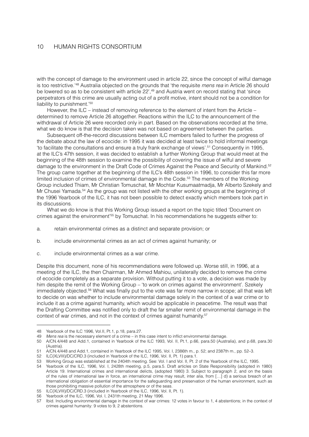with the concept of damage to the environment used in article 22, since the concept of wilful damage is too restrictive.'48 Australia objected on the grounds that 'the requisite *mens rea* in Article 26 should be lowered so as to be consistent with article 22<sup>', 49</sup> and Austria went on record stating that 'since perpetrators of this crime are usually acting out of a profit motive, intent should not be a condition for liability to punishment.'50

However, the ILC – instead of removing reference to the element of intent from the Article – determined to remove Article 26 altogether. Reactions within the ILC to the announcement of the withdrawal of Article 26 were recorded only in part. Based on the observations recorded at the time, what we do know is that the decision taken was not based on agreement between the parties.

Subsequent off-the-record discussions between ILC members failed to further the progress of the debate about the law of ecocide: in 1995 it was decided at least twice to hold informal meetings 'to facilitate the consultations and ensure a truly frank exchange of views'.51 Consequently in 1995, at the ILC's 47th session, it was decided to establish a further Working Group that would meet at the beginning of the 48th session to examine the possibility of covering the issue of wilful and severe damage to the environment in the Draft Code of Crimes Against the Peace and Security of Mankind.52 The group came together at the beginning of the ILC's 48th session in 1996, to consider this far more limited inclusion of crimes of environmental damage in the Code.53 The members of the Working Group included Thiam, Mr Christian Tomuschat, Mr Mochtar Kusumaatmadja, Mr Alberto Szekely and Mr Chusei Yamada.54 As the group was not listed with the other working groups at the beginning of the 1996 Yearbook of the ILC, it has not been possible to detect exactly which members took part in its discussions.

What we do know is that this Working Group issued a report on the topic titled 'Document on crimes against the environment'55 by Tomuschat. In his recommendations he suggests either to:

- a. retain environmental crimes as a distinct and separate provision; or
- b. include environmental crimes as an act of crimes against humanity; or
- c. include environmental crimes as a war crime.

Despite this document, none of his recommendations were followed up. Worse still, in 1996, at a meeting of the ILC, the then Chairman, Mr Ahmed Mahiou, unilaterally decided to remove the crime of ecocide completely as a separate provision. Without putting it to a vote, a decision was made by him despite the remit of the Working Group – 'to work on crimes against the environment'. Szekely immediately objected.56 What was finally put to the vote was far more narrow in scope; all that was left to decide on was whether to include environmental damage solely in the context of a war crime or to include it as a crime against humanity, which would be applicable in peacetime. The result was that the Drafting Committee was notified only to draft the far smaller remit of environmental damage in the context of war crimes, and not in the context of crimes against humanity.<sup>57</sup>

<sup>48</sup> Yearbook of the ILC 1996, Vol.II, Pt.1, p.18, para.27.

<sup>49</sup> *Mens rea* is the necessary element of a crime – in this case intent to inflict environmental damage.

<sup>50</sup> A/CN.4/448 and Add.1, contained in Yearbook of the ILC 1993, Vol. II, Pt.1, p.66, para.50 (Australia), and p.68, para.30 (Austria).

<sup>51</sup> A/CN.4/448 and Add.1, contained in Yearbook of the ILC 1995, Vol. I, 2386th m., p. 52; and 2387th m., pp. 52–3.

<sup>52</sup> ILC(XLVIII)/DC/CRD.3 (included in Yearbook of the ILC, 1996, Vol. II, Pt. 1) para.1.

<sup>53</sup> Working Group was established at the 2404th meeting. See: Vol. I and Vol. II, Pt. 2 of the Yearbook of the ILC, 1995.

<sup>54</sup> Yearbook of the ILC, 1996, Vol. I, 2428th meeting, p.5, para.5. Draft articles on State Responsibility (adopted in 1980) Article 19. International crimes and international delicts, (adopted 1980) 3. Subject to paragraph 2, and on the basis of the rules of international law in force, an international crime may result, inter alia, from […] d) a serious breach of an international obligation of essential importance for the safeguarding and preservation of the human environment, such as those prohibiting massive pollution of the atmosphere or of the seas.

<sup>55</sup> ILC(XLVIII)/DC/CRD.3 (included in Yearbook of the ILC, 1996, Vol. II, Pt. 1).

<sup>56</sup> Yearbook of the ILC, 1996, Vol. I, 2431th meeting, 21 May 1996.

<sup>57</sup> Ibid. Including environmental damage in the context of war crimes: 12 votes in favour to 1, 4 abstentions; in the context of crimes against humanity: 9 votes to 9, 2 abstentions.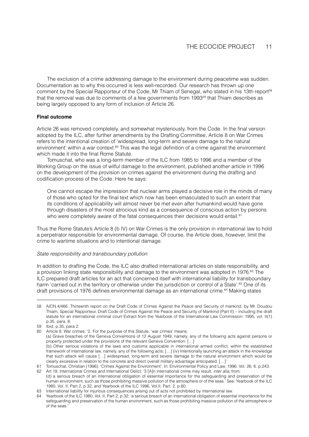The exclusion of a crime addressing damage to the environment during peacetime was sudden. Documentation as to why this occurred is less well-recorded. Our research has thrown up one comment by the Special Rapporteur of the Code, Mr Thiam of Senegal, who stated in his 13th report<sup>58</sup> that the removal was due to comments of a few governments from  $1993^{59}$  that Thiam describes as being largely opposed to any form of inclusion of Article 26.

#### **Final outcome**

Article 26 was removed completely, and somewhat mysteriously, from the Code. In the final version adopted by the ILC, after further amendments by the Drafting Committee, Article 8 on War Crimes refers to the intentional creation of 'widespread, long-term and severe damage to the natural environment' within a war context.<sup>60</sup> This was the legal definition of a crime against the environment which made it into the final Rome Statute.

Tomuschat, who was a long-term member of the ILC from 1985 to 1996 and a member of the Working Group on the issue of wilful damage to the environment, published another article in 1996 on the development of the provision on crimes against the environment during the drafting and codification process of the Code. Here he says:

One cannot escape the impression that nuclear arms played a decisive role in the minds of many of those who opted for the final text which now has been emasculated to such an extent that its conditions of applicability will almost never be met even after humankind would have gone through disasters of the most atrocious kind as a consequence of conscious action by persons who were completely aware of the fatal consequences their decisions would entail.<sup>61</sup>

Thus the Rome Statute's Article 8 (b IV) on War Crimes is the only provision in international law to hold a perpetrator responsible for environmental damage. Of course, the Article does, however, limit the crime to wartime situations and to intentional damage.

#### *State responsibility and transboundary pollution*

In addition to drafting the Code, the ILC also drafted international articles on state responsibility, and a provision linking state responsibility and damage to the environment was adopted in 1976.<sup>62</sup> The ILC prepared draft articles for an act that concerned itself with international liability for transboundary harm 'carried out in the territory or otherwise under the jurisdiction or control of a State'.<sup>63</sup> One of its draft provisions of 1976 defines environmental damage as an international crime.64 Making states

<sup>58</sup> A/CN.4/466. Thirteenth report on the Draft Code of Crimes Against the Peace and Security of mankind, by Mr. Doudou Thiam, Special Rapporteur, Draft Code of Crimes Against the Peace and Security of Mankind (Part II) – including the draft statute for an international criminal court Extract from the Yearbook of the International Law Commission: 1995, vol. II(1) p.35, para. 8.

<sup>59</sup> Ibid, p.35, para 2.

<sup>60</sup> Article 8. War crimes: '2. For the purpose of this Statute, 'war crimes' means: (a) Grave breaches of the Geneva Conventions of 12 August 1949, namely, any of the following acts against persons or property protected under the provisions of the relevant Geneva Convention: […] (b) Other serious violations of the laws and customs applicable in international armed conflict, within the established framework of international law, namely, any of the following acts: […] (iv) Intentionally launching an attack in the knowledge that such attack will cause […] widespread, long-term and severe damage to the natural environment which would be clearly excessive in relation to the concrete and direct overall military advantage anticipated; […]'

<sup>61</sup> Tomuschat, Christian (1996). 'Crimes Against the Environment'. In: Environmental Policy and Law. 1996. Vol. 26, 6. p.243. 62 Art 19. International Crimes and International Delict: '3 [A]n international crime may result, *inter alia*, from:

<sup>(</sup>d) a serious breach of an international obligation of essential importance for the safeguarding and preservation of the human environment, such as those prohibiting massive pollution of the atmosphere or of the seas.' See: Yearbook of the ILC 1980, Vol. II, Part 2, p.32, and Yearbook of the ILC 1996, Vol.II, Part. 2. p.60.

<sup>63</sup> International liability for injurious consequences arising out of acts not prohibited by international law.

<sup>64</sup> Yearbook of the ILC 1980, Vol. II, Part 2, p.32: 'a serious breach of an international obligation of essential importance for the safeguarding and preservation of the human environment, such as those prohibiting massive pollution of the atmosphere or of the seas.'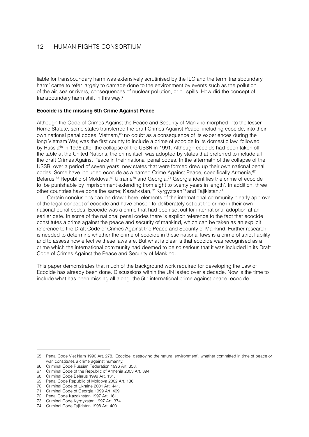liable for transboundary harm was extensively scrutinised by the ILC and the term 'transboundary harm' came to refer largely to damage done to the environment by events such as the pollution of the air, sea or rivers, consequences of nuclear pollution, or oil spills. How did the concept of transboundary harm shift in this way?

#### **Ecocide is the missing 5th Crime Against Peace**

Although the Code of Crimes Against the Peace and Security of Mankind morphed into the lesser Rome Statute, some states transferred the draft Crimes Against Peace, including ecocide, into their own national penal codes. Vietnam,<sup>65</sup> no doubt as a consequence of its experiences during the long Vietnam War, was the first county to include a crime of ecocide in its domestic law, followed by Russia<sup>66</sup> in 1996 after the collapse of the USSR in 1991. Although ecocide had been taken off the table at the United Nations, the crime itself was adopted by states that preferred to include all the draft Crimes Against Peace in their national penal codes. In the aftermath of the collapse of the USSR, over a period of seven years, new states that were formed drew up their own national penal codes. Some have included ecocide as a named Crime Against Peace, specifically Armenia,<sup>67</sup> Belarus,<sup>68</sup> Republic of Moldova,<sup>69</sup> Ukraine<sup>70</sup> and Georgia.<sup>71</sup> Georgia identifies the crime of ecocide to 'be punishable by imprisonment extending from eight to twenty years in length'. In addition, three other countries have done the same; Kazahkstan,<sup>72</sup> Kyrgyztsan<sup>73</sup> and Tajikistan.<sup>74</sup>

Certain conclusions can be drawn here: elements of the international community clearly approve of the legal concept of ecocide and have chosen to deliberately set out the crime in their own national penal codes. Ecocide was a crime that had been set out for international adoption at an earlier date. In some of the national penal codes there is explicit reference to the fact that ecocide constitutes a crime against the peace and security of mankind, which can be taken as an explicit reference to the Draft Code of Crimes Against the Peace and Security of Mankind. Further research is needed to determine whether the crime of ecocide in these national laws is a crime of strict liability and to assess how effective these laws are. But what is clear is that ecocide was recognised as a crime which the international community had deemed to be so serious that it was included in its Draft Code of Crimes Against the Peace and Security of Mankind.

This paper demonstrates that much of the background work required for developing the Law of Ecocide has already been done. Discussions within the UN lasted over a decade. Now is the time to include what has been missing all along: the 5th international crime against peace, ecocide.

<sup>65</sup> Penal Code Viet Nam 1990 Art. 278. 'Ecocide, destroying the natural environment', whether committed in time of peace or war, constitutes a crime against humanity.

<sup>66</sup> Criminal Code Russian Federation 1996 Art. 358.

<sup>67</sup> Criminal Code of the Republic of Armenia 2003 Art. 394.

<sup>68</sup> Criminal Code Belarus 1999 Art. 131.

<sup>69</sup> Penal Code Republic of Moldova 2002 Art. 136.

<sup>70</sup> Criminal Code of Ukraine 2001 Art. 441.

<sup>71</sup> Criminal Code of Georgia 1999 Art. 409

<sup>72</sup> Penal Code Kazakhstan 1997 Art. 161.

<sup>73</sup> Criminal Code Kyrgyzstan 1997 Art. 374.

<sup>74</sup> Criminal Code Tajikistan 1998 Art. 400.